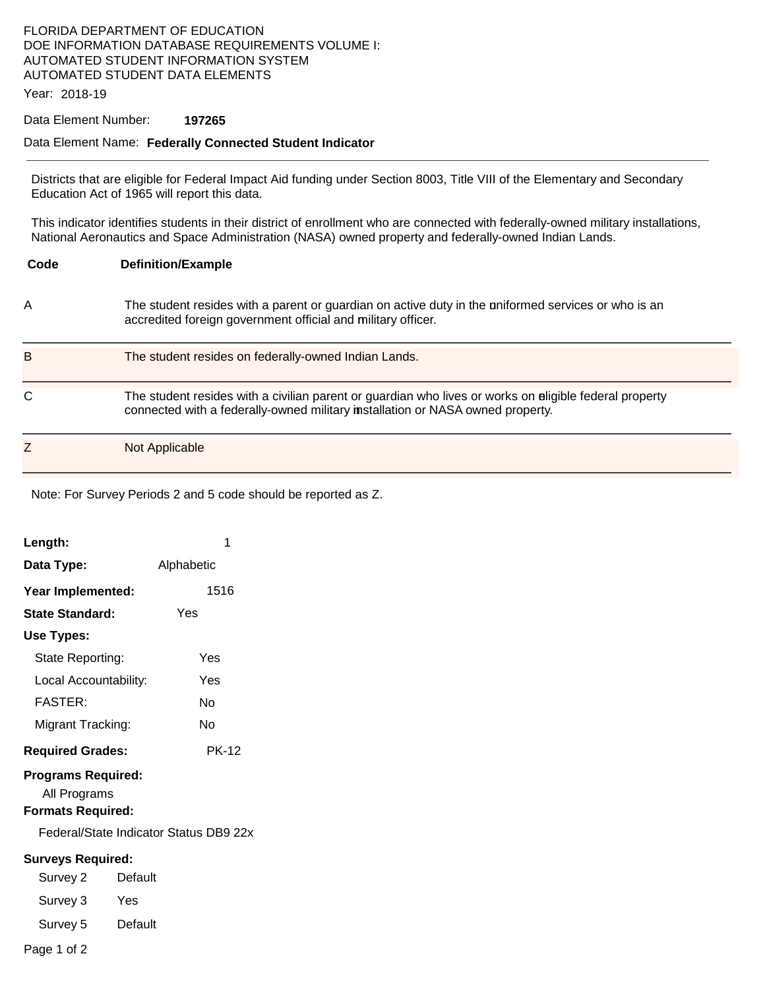### FLORIDA DEPARTMENT OF EDUCATION DOE INFORMATION DATABASE REQUIREMENTS VOLUME I: AUTOMATED STUDENT INFORMATION SYSTEM AUTOMATED STUDENT DATA ELEMENTS

Year: 2018-19

### Data Element Number: **197265**

#### Data Element Name: **Federally Connected Student Indicator**

Districts that are eligible for Federal Impact Aid funding under Section 8003, Title VIII of the Elementary and Secondary Education Act of 1965 will report this data.

This indicator identifies students in their district of enrollment who are connected with federally-owned military installations, National Aeronautics and Space Administration (NASA) owned property and federally-owned Indian Lands.

| Code | <b>Definition/Example</b>                                                                                                                                                                |
|------|------------------------------------------------------------------------------------------------------------------------------------------------------------------------------------------|
| Α    | The student resides with a parent or guardian on active duty in the uniformed services or who is an<br>accredited foreign government official and military officer.                      |
| B    | The student resides on federally-owned Indian Lands.                                                                                                                                     |
| С    | The student resides with a civilian parent or guardian who lives or works on aligible federal property<br>connected with a federally-owned military installation or NASA owned property. |
|      | Not Applicable                                                                                                                                                                           |

Note: For Survey Periods 2 and 5 code should be reported as Z.

| Length:                                                               |         | 1                                      |  |  |  |
|-----------------------------------------------------------------------|---------|----------------------------------------|--|--|--|
| Data Type:                                                            |         | Alphabetic                             |  |  |  |
| Year Implemented:                                                     |         | 1516                                   |  |  |  |
| <b>State Standard:</b>                                                |         | Yes                                    |  |  |  |
| Use Types:                                                            |         |                                        |  |  |  |
| State Reporting:                                                      |         | Yes                                    |  |  |  |
| Local Accountability:                                                 |         | Yes                                    |  |  |  |
| <b>FASTER:</b>                                                        |         | N٥                                     |  |  |  |
| Migrant Tracking:                                                     |         | No                                     |  |  |  |
| <b>Required Grades:</b>                                               |         | <b>PK-12</b>                           |  |  |  |
| <b>Programs Required:</b><br>All Programs<br><b>Formats Required:</b> |         |                                        |  |  |  |
|                                                                       |         | Federal/State Indicator Status DB9 22x |  |  |  |
| <b>Surveys Required:</b>                                              |         |                                        |  |  |  |
| Survey 2                                                              | Default |                                        |  |  |  |
| Survey 3                                                              | Yes     |                                        |  |  |  |
| Survey 5                                                              | Default |                                        |  |  |  |
| Page 1 of 2                                                           |         |                                        |  |  |  |